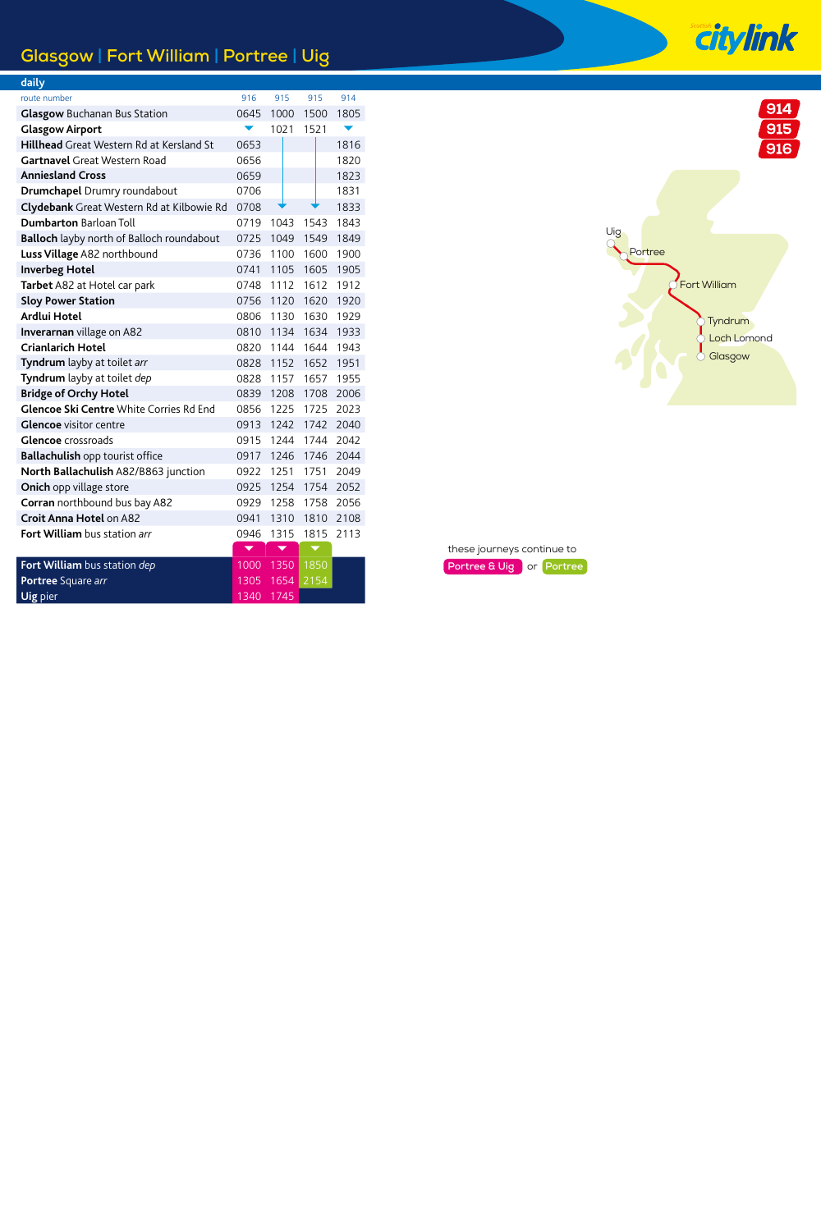## **Glasgow | Fort William | Portree | Uig**

| <u>daily</u>                                    |      |                         |                          |      |
|-------------------------------------------------|------|-------------------------|--------------------------|------|
| route number                                    | 916  | 915                     | 915                      | 914  |
| <b>Glasgow</b> Buchanan Bus Station             | 0645 | 1000                    | 1500                     | 1805 |
| <b>Glasgow Airport</b>                          |      | 1021                    | 1521                     |      |
| <b>Hillhead</b> Great Western Rd at Kersland St | 0653 |                         |                          | 1816 |
| Gartnavel Great Western Road                    | 0656 |                         |                          | 1820 |
| <b>Anniesland Cross</b>                         | 0659 |                         |                          | 1823 |
| Drumchapel Drumry roundabout                    | 0706 |                         |                          | 1831 |
| Clydebank Great Western Rd at Kilbowie Rd       | 0708 |                         |                          | 1833 |
| <b>Dumbarton Barloan Toll</b>                   | 0719 | 1043                    | 1543                     | 1843 |
| Balloch layby north of Balloch roundabout       | 0725 | 1049                    | 1549                     | 1849 |
| Luss Village A82 northbound                     | 0736 | 1100                    | 1600                     | 1900 |
| <b>Inverbeg Hotel</b>                           | 0741 | 1105                    | 1605                     | 1905 |
| Tarbet A82 at Hotel car park                    | 0748 | 1112                    | 1612                     | 1912 |
| <b>Sloy Power Station</b>                       | 0756 | 1120                    | 1620                     | 1920 |
| Ardlui Hotel                                    | 0806 | 1130                    | 1630                     | 1929 |
| Inverarnan village on A82                       | 0810 | 1134                    | 1634                     | 1933 |
| Crianlarich Hotel                               | 0820 | 1144                    | 1644                     | 1943 |
| Tyndrum layby at toilet arr                     | 0828 | 1152                    | 1652                     | 1951 |
| Tyndrum layby at toilet dep                     | 0828 | 1157                    | 1657                     | 1955 |
| <b>Bridge of Orchy Hotel</b>                    | 0839 | 1208                    | 1708                     | 2006 |
| Glencoe Ski Centre White Corries Rd End         | 0856 | 1225                    | 1725                     | 2023 |
| <b>Glencoe</b> visitor centre                   | 0913 | 1242                    | 1742                     | 2040 |
| <b>Glencoe</b> crossroads                       | 0915 |                         | 1244 1744                | 2042 |
| Ballachulish opp tourist office                 | 0917 | 1246                    | 1746                     | 2044 |
| North Ballachulish A82/B863 junction            | 0922 | 1251                    | 1751                     | 2049 |
| Onich opp village store                         | 0925 | 1254                    | 1754                     | 2052 |
| Corran northbound bus bay A82                   | 0929 | 1258                    | 1758                     | 2056 |
| Croit Anna Hotel on A82                         | 0941 | 1310                    | 1810                     | 2108 |
| <b>Fort William</b> bus station arr             | 0946 | 1315                    | 1815                     | 2113 |
|                                                 |      | $\overline{\textbf{v}}$ | $\overline{\phantom{0}}$ |      |
| <b>Fort William</b> bus station dep             |      | 1000 1350               | 1850                     |      |
| Portree Square arr                              | 1305 | 1654                    | 2154                     |      |
| Uig pier                                        | 1340 | 1745                    |                          |      |



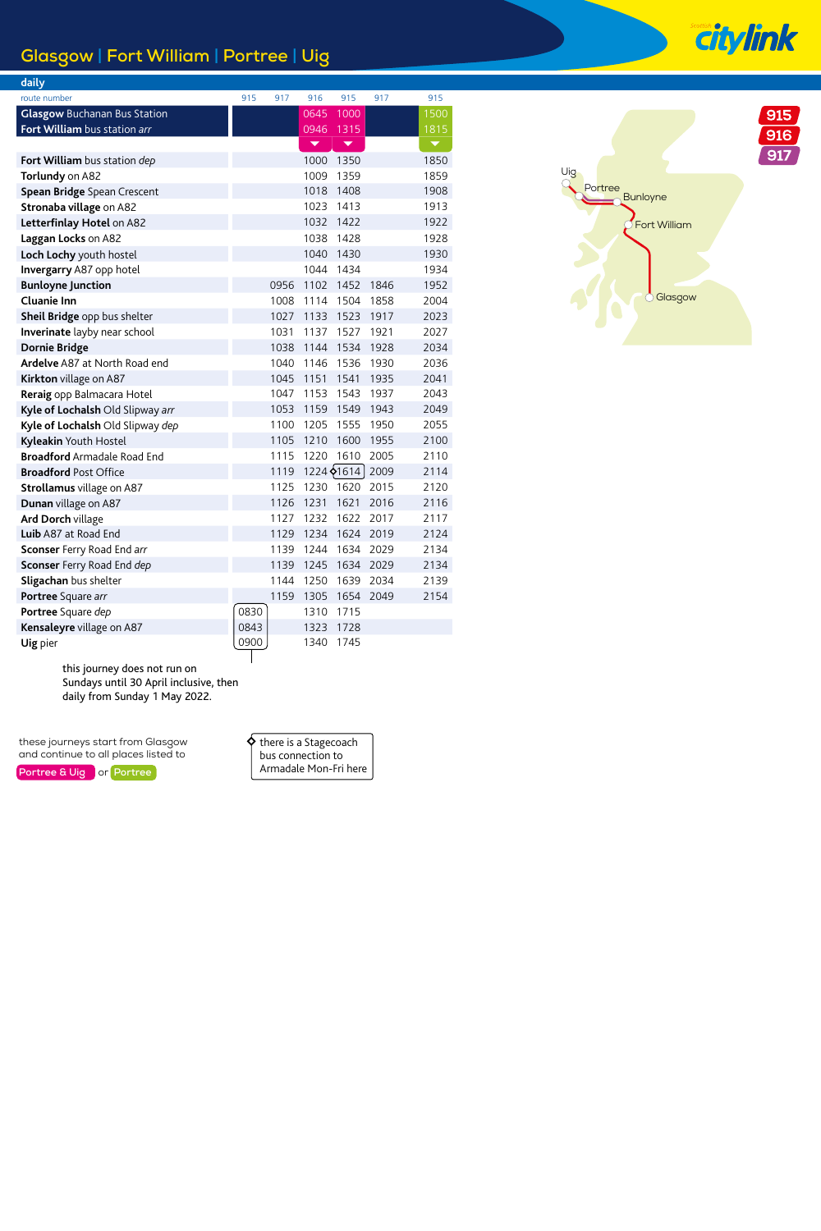## **Glasgow | Fort William | Portree | Uig**

| daily                                |      |      |      |                          |      |      |
|--------------------------------------|------|------|------|--------------------------|------|------|
| route number                         | 915  | 917  | 916  | 915                      | 917  | 915  |
| <b>Glasgow Buchanan Bus Station</b>  |      |      | 0645 | 1000                     |      | 1500 |
| Fort William bus station arr         |      |      | 0946 | 1315                     |      | 1815 |
|                                      |      |      | ▼    | $\overline{\phantom{a}}$ |      |      |
| Fort William bus station dep         |      |      | 1000 | 1350                     |      | 1850 |
| Torlundy on A82                      |      |      | 1009 | 1359                     |      | 1859 |
| Spean Bridge Spean Crescent          |      |      | 1018 | 1408                     |      | 1908 |
| Stronaba village on A82              |      |      | 1023 | 1413                     |      | 1913 |
| Letterfinlay Hotel on A82            |      |      | 1032 | 1422                     |      | 1922 |
| Laggan Locks on A82                  |      |      | 1038 | 1428                     |      | 1928 |
| Loch Lochy youth hostel              |      |      | 1040 | 1430                     |      | 1930 |
| Invergarry A87 opp hotel             |      |      | 1044 | 1434                     |      | 1934 |
| <b>Bunloyne Junction</b>             |      | 0956 | 1102 | 1452                     | 1846 | 1952 |
| Cluanie Inn                          |      | 1008 | 1114 | 1504                     | 1858 | 2004 |
| Sheil Bridge opp bus shelter         |      | 1027 | 1133 | 1523                     | 1917 | 2023 |
| Inverinate layby near school         |      | 1031 | 1137 | 1527                     | 1921 | 2027 |
| <b>Dornie Bridge</b>                 |      | 1038 | 1144 | 1534                     | 1928 | 2034 |
| <b>Ardelve</b> A87 at North Road end |      | 1040 | 1146 | 1536                     | 1930 | 2036 |
| Kirkton village on A87               |      | 1045 | 1151 | 1541                     | 1935 | 2041 |
| Reraig opp Balmacara Hotel           |      | 1047 | 1153 | 1543                     | 1937 | 2043 |
| Kyle of Lochalsh Old Slipway arr     |      | 1053 | 1159 | 1549                     | 1943 | 2049 |
| Kyle of Lochalsh Old Slipway dep     |      | 1100 | 1205 | 1555                     | 1950 | 2055 |
| Kyleakin Youth Hostel                |      | 1105 | 1210 | 1600                     | 1955 | 2100 |
| <b>Broadford</b> Armadale Road End   |      | 1115 | 1220 | 1610                     | 2005 | 2110 |
| <b>Broadford Post Office</b>         |      | 1119 |      | 1224 $\big\uparrow$ 1614 | 2009 | 2114 |
| Strollamus village on A87            |      | 1125 | 1230 | 1620                     | 2015 | 2120 |
| Dunan village on A87                 |      | 1126 | 1231 | 1621                     | 2016 | 2116 |
| <b>Ard Dorch village</b>             |      | 1127 | 1232 | 1622                     | 2017 | 2117 |
| Luib A87 at Road End                 |      | 1129 | 1234 | 1624                     | 2019 | 2124 |
| <b>Sconser</b> Ferry Road End arr    |      | 1139 | 1244 | 1634                     | 2029 | 2134 |
| Sconser Ferry Road End dep           |      | 1139 | 1245 | 1634                     | 2029 | 2134 |
| Sligachan bus shelter                |      | 1144 | 1250 | 1639                     | 2034 | 2139 |
| Portree Square arr                   |      | 1159 | 1305 | 1654                     | 2049 | 2154 |
| Portree Square dep                   | 0830 |      | 1310 | 1715                     |      |      |
| Kensaleyre village on A87            | 0843 |      | 1323 | 1728                     |      |      |
| Uig pier                             | 0900 |      | 1340 | 1745                     |      |      |

 $915$  $916$  $\overline{917}$ Uig Portree<br>Bunloyne Fort William Glasgow

this journey does not run on Sundays until 30 April inclusive, then daily from Sunday 1 May 2022.

these journeys start from Glasgow and continue to all places listed to

**Portree & Uig or Portree** 

| there is a Stagecoach |  |
|-----------------------|--|
| bus connection to     |  |
| Armadale Mon-Fri here |  |

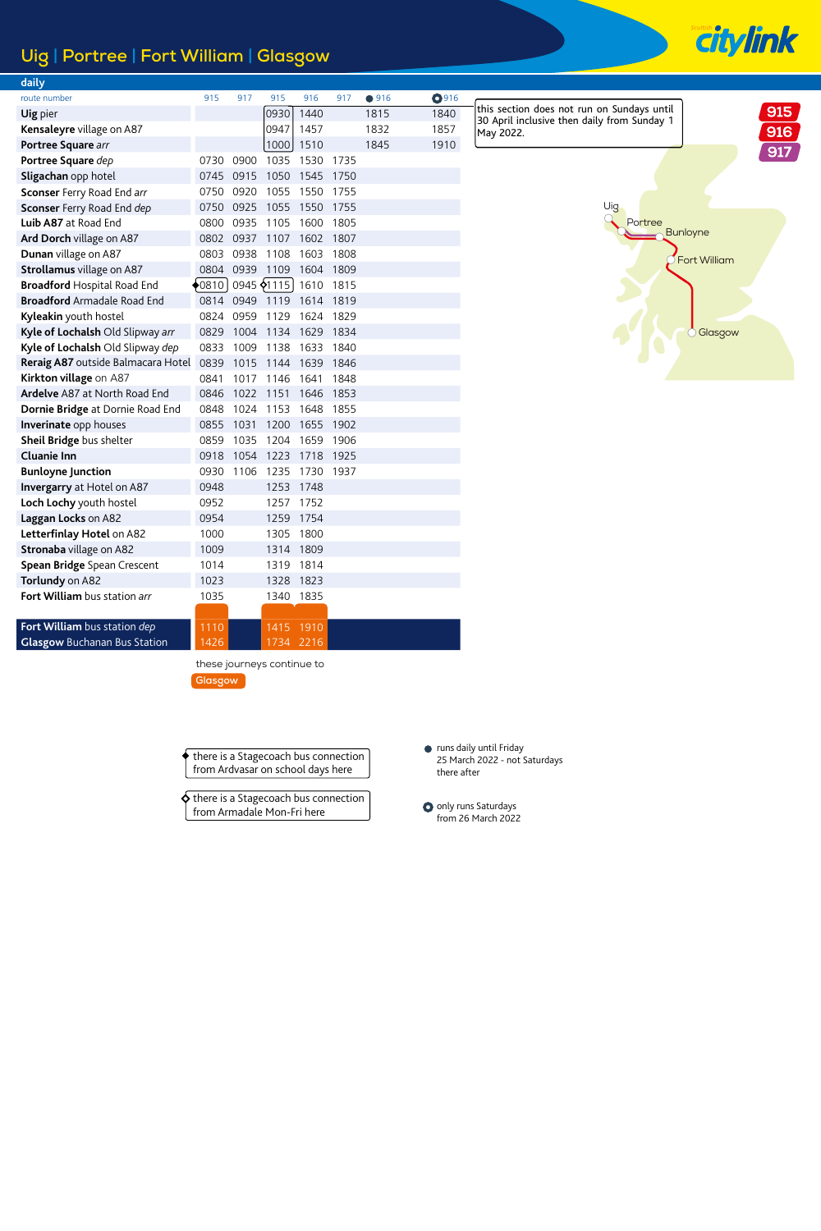## **Uig | Portree | Fort William | Glasgow**

| daily                               |      |      |             |      |      |      |              |
|-------------------------------------|------|------|-------------|------|------|------|--------------|
| route number                        | 915  | 917  | 915         | 916  | 917  | •916 | <b>O</b> 916 |
| Uig pier                            |      |      | 0930        | 1440 |      | 1815 | 1840         |
| Kensaleyre village on A87           |      |      | 0947        | 1457 |      | 1832 | 1857         |
| Portree Square arr                  |      |      | 1000        | 1510 |      | 1845 | 1910         |
| Portree Square dep                  | 0730 | 0900 | 1035        | 1530 | 1735 |      |              |
| Sligachan opp hotel                 | 0745 | 0915 | 1050        | 1545 | 1750 |      |              |
| Sconser Ferry Road End arr          | 0750 | 0920 | 1055        | 1550 | 1755 |      |              |
| Sconser Ferry Road End dep          | 0750 | 0925 | 1055        | 1550 | 1755 |      |              |
| Luib A87 at Road End                | 0800 | 0935 | 1105        | 1600 | 1805 |      |              |
| Ard Dorch village on A87            | 0802 | 0937 | 1107        | 1602 | 1807 |      |              |
| Dunan village on A87                | 0803 | 0938 | 1108        | 1603 | 1808 |      |              |
| Strollamus village on A87           | 0804 | 0939 | 1109        | 1604 | 1809 |      |              |
| <b>Broadford Hospital Road End</b>  | 0810 |      | 0945 \$1115 | 1610 | 1815 |      |              |
| <b>Broadford Armadale Road End</b>  | 0814 | 0949 | 1119        | 1614 | 1819 |      |              |
| Kyleakin youth hostel               | 0824 | 0959 | 1129        | 1624 | 1829 |      |              |
| Kyle of Lochalsh Old Slipway arr    | 0829 | 1004 | 1134        | 1629 | 1834 |      |              |
| Kyle of Lochalsh Old Slipway dep    | 0833 | 1009 | 1138        | 1633 | 1840 |      |              |
| Reraig A87 outside Balmacara Hotel  | 0839 | 1015 | 1144        | 1639 | 1846 |      |              |
| Kirkton village on A87              | 0841 | 1017 | 1146        | 1641 | 1848 |      |              |
| Ardelve A87 at North Road End       | 0846 | 1022 | 1151        | 1646 | 1853 |      |              |
| Dornie Bridge at Dornie Road End    | 0848 | 1024 | 1153        | 1648 | 1855 |      |              |
| Inverinate opp houses               | 0855 | 1031 | 1200        | 1655 | 1902 |      |              |
| Sheil Bridge bus shelter            | 0859 | 1035 | 1204        | 1659 | 1906 |      |              |
| Cluanie Inn                         | 0918 | 1054 | 1223        | 1718 | 1925 |      |              |
| <b>Bunloyne Junction</b>            | 0930 | 1106 | 1235        | 1730 | 1937 |      |              |
| Invergarry at Hotel on A87          | 0948 |      | 1253        | 1748 |      |      |              |
| Loch Lochy youth hostel             | 0952 |      | 1257        | 1752 |      |      |              |
| Laggan Locks on A82                 | 0954 |      | 1259        | 1754 |      |      |              |
| Letterfinlay Hotel on A82           | 1000 |      | 1305        | 1800 |      |      |              |
| Stronaba village on A82             | 1009 |      | 1314        | 1809 |      |      |              |
| Spean Bridge Spean Crescent         | 1014 |      | 1319        | 1814 |      |      |              |
| Torlundy on A82                     | 1023 |      | 1328        | 1823 |      |      |              |
| Fort William bus station arr        | 1035 |      | 1340        | 1835 |      |      |              |
|                                     |      |      |             |      |      |      |              |
| Fort William bus station dep        | 1110 |      | 1415        | 1910 |      |      |              |
| <b>Glasgow Buchanan Bus Station</b> | 1426 |      | 1734        | 2216 |      |      |              |

this section does not run on Sundays until 30 April inclusive then daily from Sunday 1 May 2022.



**Citylink** 



these journeys continue to **Glasgow**

there is a Stagecoach bus connection from Ardvasar on school days here

ሪ there is a Stagecoach bus connection from Armadale Mon-Fri here

runs daily until Friday 25 March 2022 - not Saturdays there after

O only runs Saturdays from 26 March 2022